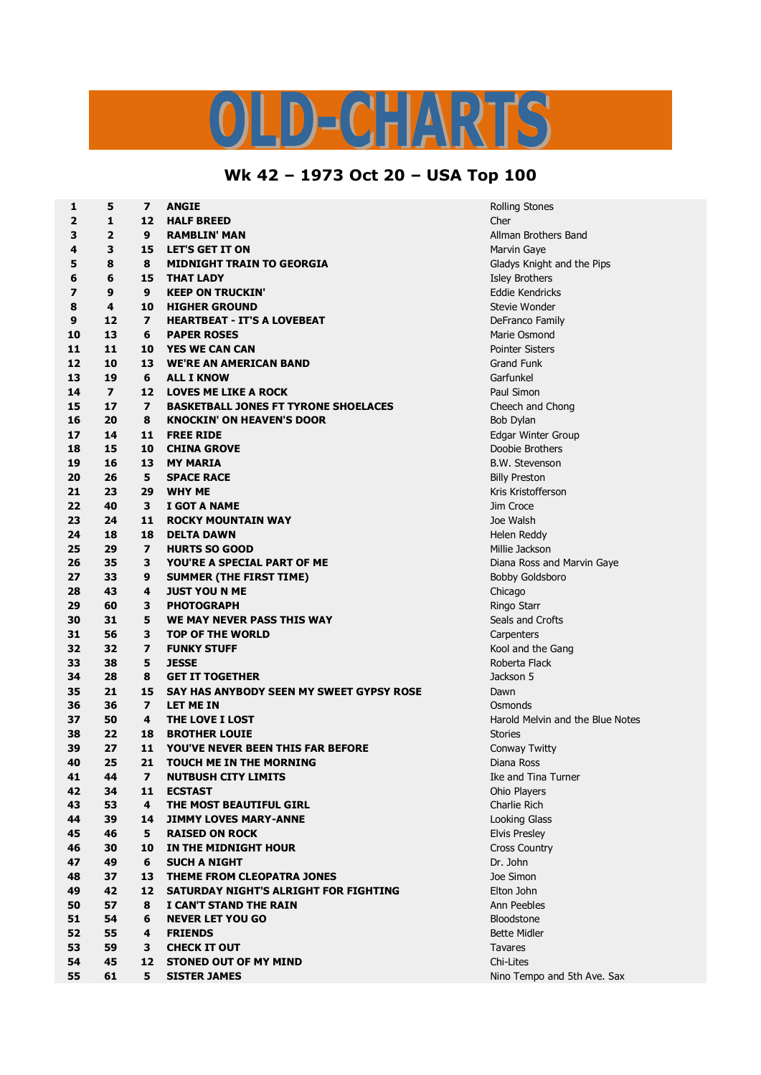## $\bigcap$  $\mathbf{A}$ H.

## **Wk 42 – 1973 Oct 20 – USA Top 100**

| 1              | 5                       | $\overline{\mathbf{z}}$  | <b>ANGIE</b>                                | <b>Rolling Stones</b>  |
|----------------|-------------------------|--------------------------|---------------------------------------------|------------------------|
| $\overline{2}$ | 1                       | 12                       | <b>HALF BREED</b>                           | Cher                   |
| 3              | $\overline{2}$          | 9                        | <b>RAMBLIN' MAN</b>                         | Allman Brothers        |
| 4              | 3                       | 15                       | <b>LET'S GET IT ON</b>                      | Marvin Gaye            |
| 5              | 8                       | 8                        | <b>MIDNIGHT TRAIN TO GEORGIA</b>            | Gladys Knight an       |
| 6              | 6                       | 15                       | <b>THAT LADY</b>                            | <b>Isley Brothers</b>  |
| 7              | 9                       | 9                        | <b>KEEP ON TRUCKIN'</b>                     | Eddie Kendricks        |
| 8              | 4                       | 10                       | <b>HIGHER GROUND</b>                        | Stevie Wonder          |
| 9              | 12                      | $\overline{\mathbf{z}}$  | <b>HEARTBEAT - IT'S A LOVEBEAT</b>          | DeFranco Family        |
| 10             | 13                      | 6                        | <b>PAPER ROSES</b>                          | Marie Osmond           |
| 11             | 11                      | 10                       | <b>YES WE CAN CAN</b>                       | <b>Pointer Sisters</b> |
| 12             | 10                      | 13                       | <b>WE'RE AN AMERICAN BAND</b>               | <b>Grand Funk</b>      |
| 13             | 19                      | 6                        | <b>ALL I KNOW</b>                           | Garfunkel              |
| 14             | $\overline{\mathbf{z}}$ | 12                       | <b>LOVES ME LIKE A ROCK</b>                 | Paul Simon             |
| 15             | 17                      | $\overline{ }$           | <b>BASKETBALL JONES FT TYRONE SHOELACES</b> | Cheech and Chor        |
| 16             | 20                      | 8                        | <b>KNOCKIN' ON HEAVEN'S DOOR</b>            | <b>Bob Dylan</b>       |
| 17             | 14                      | 11                       | <b>FREE RIDE</b>                            | Edgar Winter Gro       |
| 18             | 15                      | 10                       | <b>CHINA GROVE</b>                          | Doobie Brothers        |
| 19             | 16                      | 13                       | <b>MY MARIA</b>                             | B.W. Stevenson         |
| 20             | 26                      | 5                        | <b>SPACE RACE</b>                           | <b>Billy Preston</b>   |
| 21             | 23                      | 29                       | <b>WHY ME</b>                               | Kris Kristofferson     |
| 22             | 40                      | 3                        | I GOT A NAME                                | Jim Croce              |
| 23             | 24                      | 11                       | <b>ROCKY MOUNTAIN WAY</b>                   | Joe Walsh              |
| 24             | 18                      | 18                       | <b>DELTA DAWN</b>                           | Helen Reddy            |
| 25             | 29                      | $\overline{\phantom{a}}$ | <b>HURTS SO GOOD</b>                        | Millie Jackson         |
| 26             | 35                      | 3                        | YOU'RE A SPECIAL PART OF ME                 | Diana Ross and I       |
| 27             | 33                      | 9                        | <b>SUMMER (THE FIRST TIME)</b>              | <b>Bobby Goldsboro</b> |
| 28             | 43                      | 4                        | <b>JUST YOU N ME</b>                        | Chicago                |
| 29             | 60                      | 3                        | <b>PHOTOGRAPH</b>                           | Ringo Starr            |
| 30             | 31                      | 5                        | WE MAY NEVER PASS THIS WAY                  | Seals and Crofts       |
| 31             | 56                      | 3                        | <b>TOP OF THE WORLD</b>                     | Carpenters             |
| 32             | 32                      | $\overline{\mathbf{z}}$  | <b>FUNKY STUFF</b>                          | Kool and the Gar       |
| 33             | 38                      | 5                        | <b>JESSE</b>                                | Roberta Flack          |
| 34             | 28                      | 8                        | <b>GET IT TOGETHER</b>                      | Jackson 5              |
| 35             | 21                      | 15                       | SAY HAS ANYBODY SEEN MY SWEET GYPSY ROSE    | Dawn                   |
| 36             | 36                      | $\overline{ }$           | <b>LET ME IN</b>                            | Osmonds                |
| 37             | 50                      | 4                        | THE LOVE I LOST                             | Harold Melvin an       |
| 38             | 22                      | 18                       | <b>BROTHER LOUIE</b>                        | <b>Stories</b>         |
| 39             | 27                      | 11                       | YOU'VE NEVER BEEN THIS FAR BEFORE           | Conway Twitty          |
| 40             | 25                      | 21                       | <b>TOUCH ME IN THE MORNING</b>              | Diana Ross             |
| 41             | 44                      | $\overline{\mathbf{z}}$  | <b>NUTBUSH CITY LIMITS</b>                  | Ike and Tina Tur       |
| 42             | 34                      | 11                       | <b>ECSTAST</b>                              | Ohio Players           |
| 43             | 53                      | 4                        | THE MOST BEAUTIFUL GIRL                     | Charlie Rich           |
| 44             | 39                      | 14                       | <b>JIMMY LOVES MARY-ANNE</b>                | Looking Glass          |
| 45             | 46                      | 5                        | <b>RAISED ON ROCK</b>                       | <b>Elvis Presley</b>   |
| 46             | 30                      | 10                       | IN THE MIDNIGHT HOUR                        | <b>Cross Country</b>   |
| 47             | 49                      | 6                        | <b>SUCH A NIGHT</b>                         | Dr. John               |
| 48             | 37                      | 13                       | THEME FROM CLEOPATRA JONES                  | Joe Simon              |
| 49             | 42                      | 12                       | SATURDAY NIGHT'S ALRIGHT FOR FIGHTING       | Elton John             |
| 50             | 57                      | 8                        | I CAN'T STAND THE RAIN                      | Ann Peebles            |
| 51             | 54                      | 6                        | <b>NEVER LET YOU GO</b>                     | <b>Bloodstone</b>      |
| 52             | 55                      | 4                        | <b>FRIENDS</b>                              | <b>Bette Midler</b>    |
| 53             | 59                      | 3                        | <b>CHECK IT OUT</b>                         | <b>Tavares</b>         |
| 54             | 45                      | 12                       | <b>STONED OUT OF MY MIND</b>                | Chi-Lites              |
| 55             | 61                      | 5                        | <b>SISTER JAMES</b>                         | Nino Tempo and         |

**Brothers Band Knight and the Pips h** and Chong **14 11 FREE RIDE** Edgar Winter Group **Ross and Marvin Gaye 32 7 FUNKY STUFF** Kool and the Gang **Melvin and the Blue Notes 44 7 NUTBUSH CITY LIMITS** Ike and Tina Turner **61 5 SISTER JAMES** Nino Tempo and 5th Ave. Sax